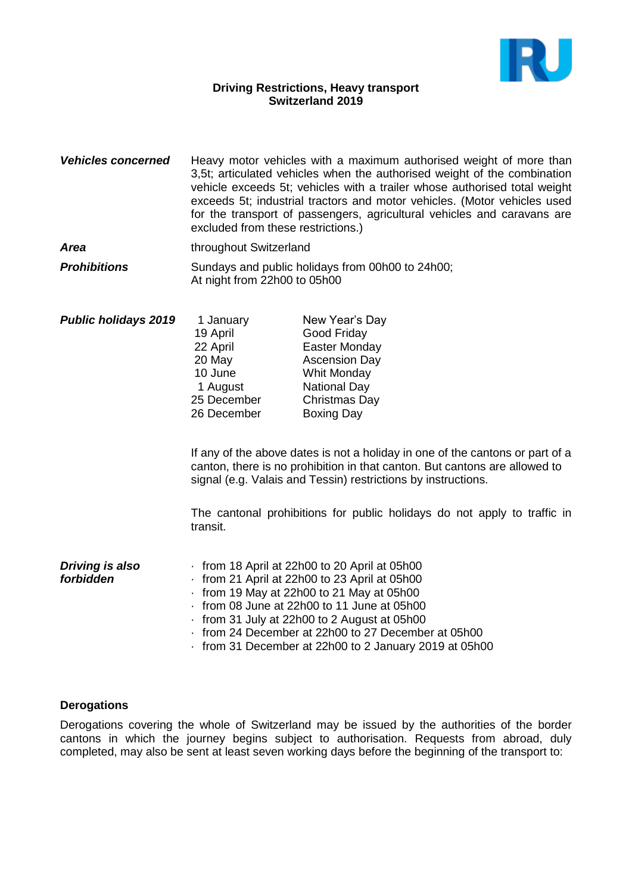

## **Driving Restrictions, Heavy transport Switzerland 2019**

- *Vehicles concerned* Heavy motor vehicles with a maximum authorised weight of more than 3,5t; articulated vehicles when the authorised weight of the combination vehicle exceeds 5t; vehicles with a trailer whose authorised total weight exceeds 5t; industrial tractors and motor vehicles. (Motor vehicles used for the transport of passengers, agricultural vehicles and caravans are excluded from these restrictions.)
- **Area** throughout Switzerland
- **Prohibitions** Sundays and public holidays from 00h00 to 24h00; At night from 22h00 to 05h00
- **Public holidays 2019** 1 January New Year's Day 19 April Good Friday 22 April Easter Monday 20 May Ascension Day 10 June Whit Monday 1 August **National Day** 25 December Christmas Day 26 December Boxing Day

If any of the above dates is not a holiday in one of the cantons or part of a canton, there is no prohibition in that canton. But cantons are allowed to signal (e.g. Valais and Tessin) restrictions by instructions.

The cantonal prohibitions for public holidays do not apply to traffic in transit.

| Driving is also | from 18 April at 22h00 to 20 April at 05h00          |
|-----------------|------------------------------------------------------|
| forbidden       | from 21 April at 22h00 to 23 April at 05h00          |
|                 | $\cdot$ from 19 May at 22h00 to 21 May at 05h00      |
|                 | from 08 June at 22h00 to 11 June at 05h00            |
|                 | from 31 July at 22h00 to 2 August at 05h00           |
|                 | from 24 December at 22h00 to 27 December at 05h00    |
|                 | from 31 December at 22h00 to 2 January 2019 at 05h00 |

## **Derogations**

Derogations covering the whole of Switzerland may be issued by the authorities of the border cantons in which the journey begins subject to authorisation. Requests from abroad, duly completed, may also be sent at least seven working days before the beginning of the transport to: